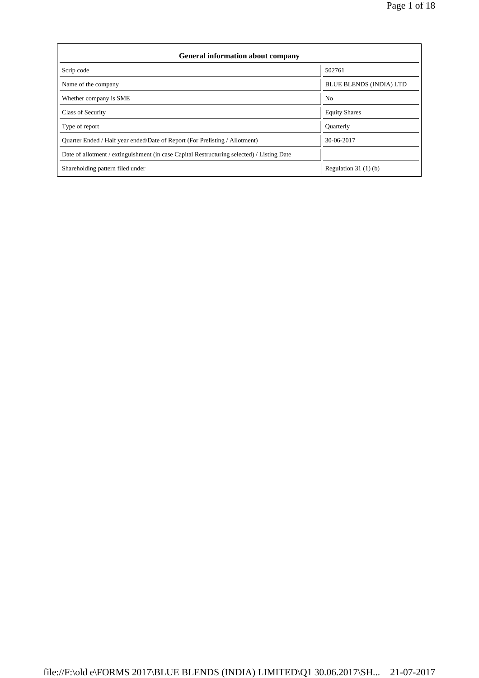| <b>General information about company</b>                                                   |                                |  |  |  |  |
|--------------------------------------------------------------------------------------------|--------------------------------|--|--|--|--|
| Scrip code                                                                                 | 502761                         |  |  |  |  |
| Name of the company                                                                        | <b>BLUE BLENDS (INDIA) LTD</b> |  |  |  |  |
| Whether company is SME                                                                     | N <sub>0</sub>                 |  |  |  |  |
| Class of Security                                                                          | <b>Equity Shares</b>           |  |  |  |  |
| Type of report                                                                             | <b>Ouarterly</b>               |  |  |  |  |
| Quarter Ended / Half year ended/Date of Report (For Prelisting / Allotment)                | 30-06-2017                     |  |  |  |  |
| Date of allotment / extinguishment (in case Capital Restructuring selected) / Listing Date |                                |  |  |  |  |
| Shareholding pattern filed under                                                           | Regulation $31(1)(b)$          |  |  |  |  |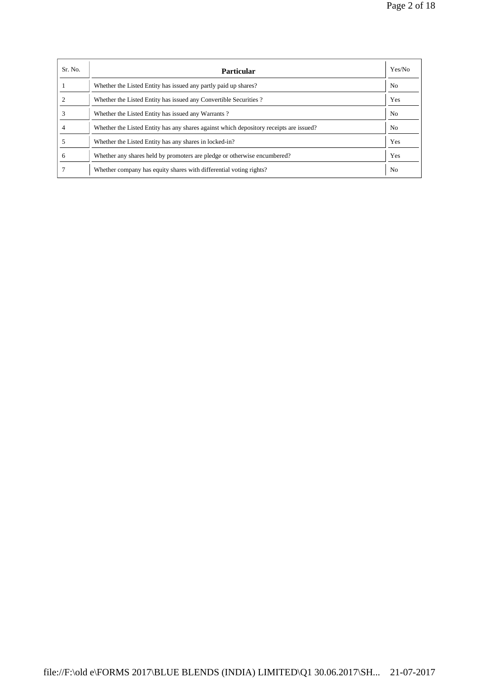| Sr. No. | <b>Particular</b>                                                                      | Yes/No         |
|---------|----------------------------------------------------------------------------------------|----------------|
|         | Whether the Listed Entity has issued any partly paid up shares?                        | N <sub>0</sub> |
|         | Whether the Listed Entity has issued any Convertible Securities?                       | Yes            |
|         | Whether the Listed Entity has issued any Warrants?                                     | N <sub>o</sub> |
|         | Whether the Listed Entity has any shares against which depository receipts are issued? | No.            |
|         | Whether the Listed Entity has any shares in locked-in?                                 | Yes            |
| 6       | Whether any shares held by promoters are pledge or otherwise encumbered?               | Yes            |
|         | Whether company has equity shares with differential voting rights?                     | No             |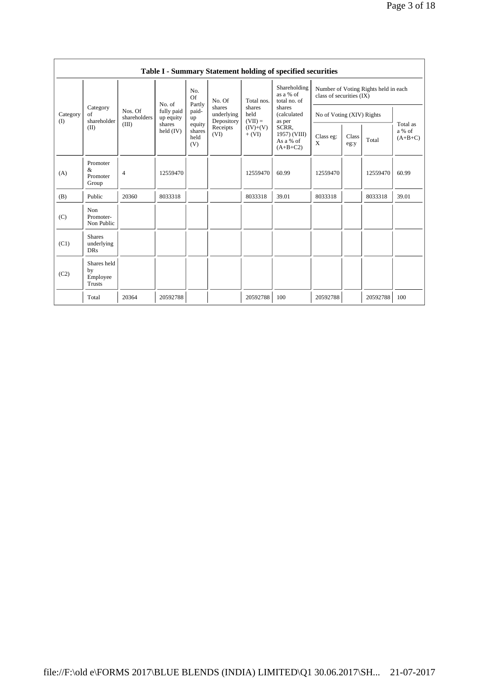|                 | Table I - Summary Statement holding of specified securities                                                                      |                                         |                                   |                       |                                              |                                           |                                                                              |                                                                  |  |          |       |
|-----------------|----------------------------------------------------------------------------------------------------------------------------------|-----------------------------------------|-----------------------------------|-----------------------|----------------------------------------------|-------------------------------------------|------------------------------------------------------------------------------|------------------------------------------------------------------|--|----------|-------|
| Category<br>(1) |                                                                                                                                  | Nos. Of<br>shareholders                 | No. of<br>fully paid<br>up equity | No.<br>Of             | No. Of<br>shares<br>underlying<br>Depository | Total nos.<br>shares<br>held<br>$(VII) =$ | Shareholding<br>as a % of<br>total no. of<br>shares<br>(calculated<br>as per | Number of Voting Rights held in each<br>class of securities (IX) |  |          |       |
|                 | Category<br>of<br>shareholder                                                                                                    |                                         |                                   | Partly<br>paid-<br>up |                                              |                                           |                                                                              | No of Voting (XIV) Rights                                        |  |          |       |
|                 | (III)<br>shares<br>equity<br>(II)<br>Receipts<br>SCRR.<br>$(IV)+(V)$<br>held $(IV)$<br>shares<br>(VI)<br>$+ (VI)$<br>held<br>(V) | 1957) (VIII)<br>As a % of<br>$(A+B+C2)$ | Class eg:<br>X                    | Class<br>eg:y         | Total                                        | Total as<br>a % of<br>$(A+B+C)$           |                                                                              |                                                                  |  |          |       |
| (A)             | Promoter<br>$\&$<br>Promoter<br>Group                                                                                            | $\overline{4}$                          | 12559470                          |                       |                                              | 12559470                                  | 60.99                                                                        | 12559470                                                         |  | 12559470 | 60.99 |
| (B)             | Public                                                                                                                           | 20360                                   | 8033318                           |                       |                                              | 8033318                                   | 39.01                                                                        | 8033318                                                          |  | 8033318  | 39.01 |
| (C)             | Non<br>Promoter-<br>Non Public                                                                                                   |                                         |                                   |                       |                                              |                                           |                                                                              |                                                                  |  |          |       |
| (C1)            | <b>Shares</b><br>underlying<br><b>DRs</b>                                                                                        |                                         |                                   |                       |                                              |                                           |                                                                              |                                                                  |  |          |       |
| (C2)            | Shares held<br>by<br>Employee<br><b>Trusts</b>                                                                                   |                                         |                                   |                       |                                              |                                           |                                                                              |                                                                  |  |          |       |
|                 | Total                                                                                                                            | 20364                                   | 20592788                          |                       |                                              | 20592788                                  | 100                                                                          | 20592788                                                         |  | 20592788 | 100   |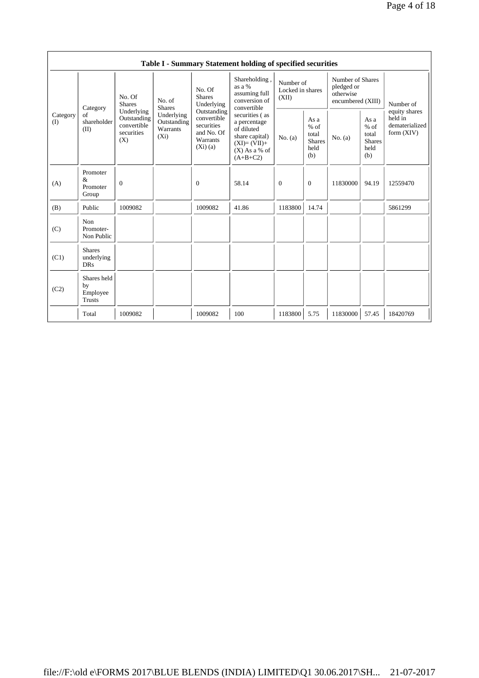|                 |                                                |                                                               |                                                  |                                                                   | Table I - Summary Statement holding of specified securities                                                                                                                                                 |                                        |                                                         |                                                                  |                                                         |                                                            |
|-----------------|------------------------------------------------|---------------------------------------------------------------|--------------------------------------------------|-------------------------------------------------------------------|-------------------------------------------------------------------------------------------------------------------------------------------------------------------------------------------------------------|----------------------------------------|---------------------------------------------------------|------------------------------------------------------------------|---------------------------------------------------------|------------------------------------------------------------|
|                 | Category                                       | No. Of<br><b>Shares</b>                                       | No. of<br><b>Shares</b>                          | No. Of<br><b>Shares</b><br>Underlying                             | Shareholding,<br>as a %<br>assuming full<br>conversion of<br>convertible<br>Outstanding<br>securities (as<br>a percentage<br>of diluted<br>share capital)<br>$(XI)=(VII)+$<br>$(X)$ As a % of<br>$(A+B+C2)$ | Number of<br>Locked in shares<br>(XII) |                                                         | Number of Shares<br>pledged or<br>otherwise<br>encumbered (XIII) |                                                         | Number of                                                  |
| Category<br>(I) | of<br>shareholder<br>(II)                      | Underlying<br>Outstanding<br>convertible<br>securities<br>(X) | Underlying<br>Outstanding<br>Warrants<br>$(X_i)$ | convertible<br>securities<br>and No. Of<br>Warrants<br>$(Xi)$ (a) |                                                                                                                                                                                                             | No. (a)                                | As a<br>$%$ of<br>total<br><b>Shares</b><br>held<br>(b) | No. (a)                                                          | As a<br>$%$ of<br>total<br><b>Shares</b><br>held<br>(b) | equity shares<br>held in<br>dematerialized<br>form $(XIV)$ |
| (A)             | Promoter<br>$\&$<br>Promoter<br>Group          | $\mathbf{0}$                                                  |                                                  | $\overline{0}$                                                    | 58.14                                                                                                                                                                                                       | $\overline{0}$                         | $\overline{0}$                                          | 11830000                                                         | 94.19                                                   | 12559470                                                   |
| (B)             | Public                                         | 1009082                                                       |                                                  | 1009082                                                           | 41.86                                                                                                                                                                                                       | 1183800                                | 14.74                                                   |                                                                  |                                                         | 5861299                                                    |
| (C)             | Non<br>Promoter-<br>Non Public                 |                                                               |                                                  |                                                                   |                                                                                                                                                                                                             |                                        |                                                         |                                                                  |                                                         |                                                            |
| (C1)            | <b>Shares</b><br>underlying<br><b>DRs</b>      |                                                               |                                                  |                                                                   |                                                                                                                                                                                                             |                                        |                                                         |                                                                  |                                                         |                                                            |
| (C2)            | Shares held<br>by<br>Employee<br><b>Trusts</b> |                                                               |                                                  |                                                                   |                                                                                                                                                                                                             |                                        |                                                         |                                                                  |                                                         |                                                            |
|                 | Total                                          | 1009082                                                       |                                                  | 1009082                                                           | 100                                                                                                                                                                                                         | 1183800                                | 5.75                                                    | 11830000                                                         | 57.45                                                   | 18420769                                                   |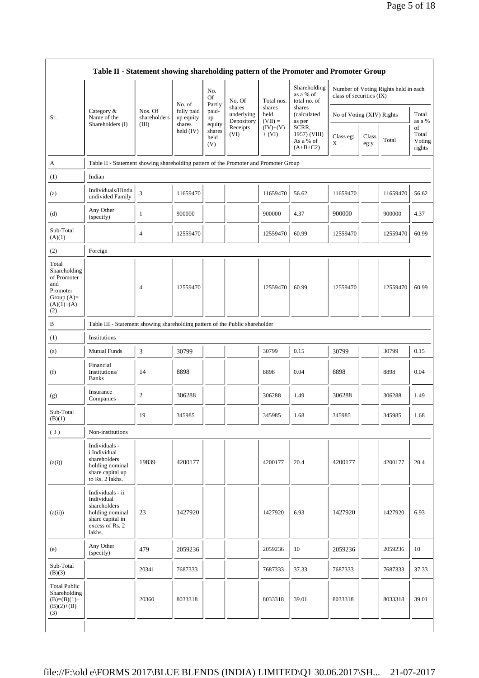|                                                                                                | Table II - Statement showing shareholding pattern of the Promoter and Promoter Group                                |                         |                         |                                 |                                    |                             |                                                  |                           |               |                                      |                                 |
|------------------------------------------------------------------------------------------------|---------------------------------------------------------------------------------------------------------------------|-------------------------|-------------------------|---------------------------------|------------------------------------|-----------------------------|--------------------------------------------------|---------------------------|---------------|--------------------------------------|---------------------------------|
|                                                                                                |                                                                                                                     |                         | No. of                  | No.<br><b>Of</b><br>Partly      | No. Of                             | Total nos.                  | Shareholding<br>as a % of<br>total no. of        | class of securities (IX)  |               | Number of Voting Rights held in each |                                 |
| Sr.                                                                                            | Category &<br>Name of the                                                                                           | Nos. Of<br>shareholders | fully paid<br>up equity | paid-<br>up                     | shares<br>underlying<br>Depository | shares<br>held<br>$(VII) =$ | shares<br>(calculated<br>as per                  | No of Voting (XIV) Rights |               |                                      | Total<br>as a %                 |
|                                                                                                | Shareholders (I)                                                                                                    | (III)                   | shares<br>held $(IV)$   | equity<br>shares<br>held<br>(V) | Receipts<br>(VI)                   | $(IV)+(V)$<br>$+ (VI)$      | SCRR,<br>1957) (VIII)<br>As a % of<br>$(A+B+C2)$ | Class eg:<br>X            | Class<br>eg:y | Total                                | of<br>Total<br>Voting<br>rights |
| A                                                                                              | Table II - Statement showing shareholding pattern of the Promoter and Promoter Group                                |                         |                         |                                 |                                    |                             |                                                  |                           |               |                                      |                                 |
| (1)                                                                                            | Indian                                                                                                              |                         |                         |                                 |                                    |                             |                                                  |                           |               |                                      |                                 |
| (a)                                                                                            | Individuals/Hindu<br>undivided Family                                                                               | 3                       | 11659470                |                                 |                                    | 11659470                    | 56.62                                            | 11659470                  |               | 11659470                             | 56.62                           |
| (d)                                                                                            | Any Other<br>(specify)                                                                                              | 1                       | 900000                  |                                 |                                    | 900000                      | 4.37                                             | 900000                    |               | 900000                               | 4.37                            |
| Sub-Total<br>(A)(1)                                                                            |                                                                                                                     | 4                       | 12559470                |                                 |                                    | 12559470                    | 60.99                                            | 12559470                  |               | 12559470                             | 60.99                           |
| (2)                                                                                            | Foreign                                                                                                             |                         |                         |                                 |                                    |                             |                                                  |                           |               |                                      |                                 |
| Total<br>Shareholding<br>of Promoter<br>and<br>Promoter<br>Group $(A)=$<br>$(A)(1)+(A)$<br>(2) |                                                                                                                     | $\overline{4}$          | 12559470                |                                 |                                    | 12559470                    | 60.99                                            | 12559470                  |               | 12559470                             | 60.99                           |
| B                                                                                              | Table III - Statement showing shareholding pattern of the Public shareholder                                        |                         |                         |                                 |                                    |                             |                                                  |                           |               |                                      |                                 |
| (1)                                                                                            | Institutions                                                                                                        |                         |                         |                                 |                                    |                             |                                                  |                           |               |                                      |                                 |
| (a)                                                                                            | <b>Mutual Funds</b>                                                                                                 | 3                       | 30799                   |                                 |                                    | 30799                       | 0.15                                             | 30799                     |               | 30799                                | 0.15                            |
| (f)                                                                                            | Financial<br>Institutions/<br><b>Banks</b>                                                                          | 14                      | 8898                    |                                 |                                    | 8898                        | 0.04                                             | 8898                      |               | 8898                                 | 0.04                            |
| (g)                                                                                            | Insurance<br>Companies                                                                                              | $\overline{c}$          | 306288                  |                                 |                                    | 306288                      | 1.49                                             | 306288                    |               | 306288                               | 1.49                            |
| Sub-Total<br>(B)(1)                                                                            |                                                                                                                     | 19                      | 345985                  |                                 |                                    | 345985                      | 1.68                                             | 345985                    |               | 345985                               | 1.68                            |
| (3)                                                                                            | Non-institutions                                                                                                    |                         |                         |                                 |                                    |                             |                                                  |                           |               |                                      |                                 |
| (a(i))                                                                                         | Individuals -<br>i.Individual<br>shareholders<br>holding nominal<br>share capital up<br>to Rs. 2 lakhs.             | 19839                   | 4200177                 |                                 |                                    | 4200177                     | 20.4                                             | 4200177                   |               | 4200177                              | 20.4                            |
| (a(ii))                                                                                        | Individuals - ii.<br>Individual<br>shareholders<br>holding nominal<br>share capital in<br>excess of Rs. 2<br>lakhs. | 23                      | 1427920                 |                                 |                                    | 1427920                     | 6.93                                             | 1427920                   |               | 1427920                              | 6.93                            |
| (e)                                                                                            | Any Other<br>(specify)                                                                                              | 479                     | 2059236                 |                                 |                                    | 2059236                     | 10                                               | 2059236                   |               | 2059236                              | 10                              |
| Sub-Total<br>(B)(3)                                                                            |                                                                                                                     | 20341                   | 7687333                 |                                 |                                    | 7687333                     | 37.33                                            | 7687333                   |               | 7687333                              | 37.33                           |
| <b>Total Public</b><br>Shareholding<br>$(B)=(B)(1)+$<br>$(B)(2)+(B)$<br>(3)                    |                                                                                                                     | 20360                   | 8033318                 |                                 |                                    | 8033318                     | 39.01                                            | 8033318                   |               | 8033318                              | 39.01                           |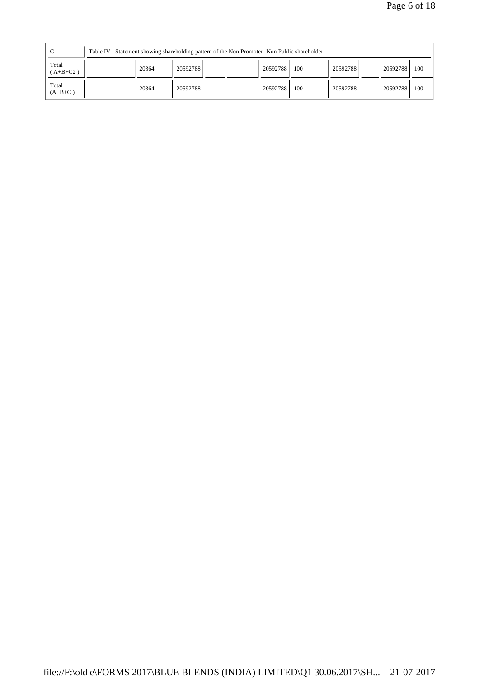| $\sqrt{ }$          |       | Table IV - Statement showing shareholding pattern of the Non Promoter- Non Public shareholder |          |     |          |          |     |
|---------------------|-------|-----------------------------------------------------------------------------------------------|----------|-----|----------|----------|-----|
| Total<br>$(A+B+C2)$ | 20364 | 20592788                                                                                      | 20592788 | 100 | 20592788 | 20592788 | 100 |
| Total<br>$(A+B+C)$  | 20364 | 20592788                                                                                      | 20592788 | 100 | 20592788 | 20592788 | 100 |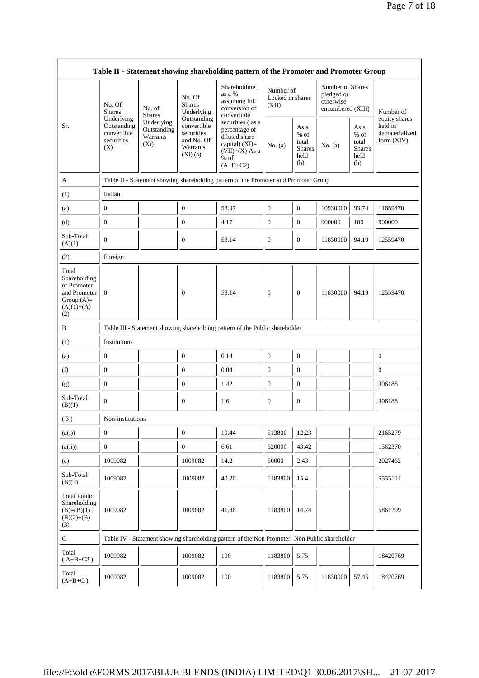|                                                                                             | Table II - Statement showing shareholding pattern of the Promoter and Promoter Group                              |                                                                                      |                                                                                                                  |                                                                                               |                                                         |                  |                                                                  |                                                          |                  |  |
|---------------------------------------------------------------------------------------------|-------------------------------------------------------------------------------------------------------------------|--------------------------------------------------------------------------------------|------------------------------------------------------------------------------------------------------------------|-----------------------------------------------------------------------------------------------|---------------------------------------------------------|------------------|------------------------------------------------------------------|----------------------------------------------------------|------------------|--|
|                                                                                             | No. Of<br><b>Shares</b>                                                                                           | No. of<br><b>Shares</b>                                                              | No. Of<br><b>Shares</b><br>Underlying                                                                            | Shareholding,<br>as a %<br>assuming full<br>conversion of<br>convertible                      | Number of<br>Locked in shares<br>(XII)                  |                  | Number of Shares<br>pledged or<br>otherwise<br>encumbered (XIII) |                                                          | Number of        |  |
| Sr.                                                                                         | Underlying<br>Underlying<br>Outstanding<br>Outstanding<br>convertible<br>Warrants<br>securities<br>$(X_i)$<br>(X) | Outstanding<br>convertible<br>securities<br>and No. Of<br>Warrants<br>$(Xi)$ (a)     | securities (as a<br>percentage of<br>diluted share<br>capital) $(XI)=$<br>$(VII)+(X)$ As a<br>% of<br>$(A+B+C2)$ | No. (a)                                                                                       | As a<br>$%$ of<br>total<br><b>Shares</b><br>held<br>(b) | No. (a)          | As a<br>$%$ of<br>total<br><b>Shares</b><br>held<br>(b)          | equity shares<br>held in<br>dematerialized<br>form (XIV) |                  |  |
| A                                                                                           |                                                                                                                   | Table II - Statement showing shareholding pattern of the Promoter and Promoter Group |                                                                                                                  |                                                                                               |                                                         |                  |                                                                  |                                                          |                  |  |
| (1)                                                                                         | Indian                                                                                                            |                                                                                      |                                                                                                                  |                                                                                               |                                                         |                  |                                                                  |                                                          |                  |  |
| (a)                                                                                         | $\mathbf{0}$                                                                                                      |                                                                                      | $\boldsymbol{0}$                                                                                                 | 53.97                                                                                         | $\mathbf{0}$                                            | $\mathbf{0}$     | 10930000                                                         | 93.74                                                    | 11659470         |  |
| (d)                                                                                         | $\mathbf{0}$                                                                                                      |                                                                                      | $\boldsymbol{0}$                                                                                                 | 4.17                                                                                          | $\boldsymbol{0}$                                        | $\mathbf{0}$     | 900000                                                           | 100                                                      | 900000           |  |
| Sub-Total<br>(A)(1)                                                                         | $\Omega$                                                                                                          |                                                                                      | $\boldsymbol{0}$                                                                                                 | 58.14                                                                                         | $\boldsymbol{0}$                                        | $\mathbf{0}$     | 11830000                                                         | 94.19                                                    | 12559470         |  |
| (2)                                                                                         | Foreign                                                                                                           |                                                                                      |                                                                                                                  |                                                                                               |                                                         |                  |                                                                  |                                                          |                  |  |
| Total<br>Shareholding<br>of Promoter<br>and Promoter<br>Group $(A)=$<br>$(A)(1)+(A)$<br>(2) | $\mathbf{0}$                                                                                                      |                                                                                      | $\mathbf{0}$                                                                                                     | 58.14                                                                                         | $\mathbf{0}$                                            | $\theta$         | 11830000                                                         | 94.19                                                    | 12559470         |  |
| B                                                                                           |                                                                                                                   |                                                                                      |                                                                                                                  | Table III - Statement showing shareholding pattern of the Public shareholder                  |                                                         |                  |                                                                  |                                                          |                  |  |
| (1)                                                                                         | Institutions                                                                                                      |                                                                                      |                                                                                                                  |                                                                                               |                                                         |                  |                                                                  |                                                          |                  |  |
| (a)                                                                                         | $\boldsymbol{0}$                                                                                                  |                                                                                      | $\boldsymbol{0}$                                                                                                 | 0.14                                                                                          | $\boldsymbol{0}$                                        | $\boldsymbol{0}$ |                                                                  |                                                          | $\boldsymbol{0}$ |  |
| (f)                                                                                         | $\boldsymbol{0}$                                                                                                  |                                                                                      | $\boldsymbol{0}$                                                                                                 | 0.04                                                                                          | $\boldsymbol{0}$                                        | $\boldsymbol{0}$ |                                                                  |                                                          | $\overline{0}$   |  |
| (g)                                                                                         | $\boldsymbol{0}$                                                                                                  |                                                                                      | $\boldsymbol{0}$                                                                                                 | 1.42                                                                                          | $\boldsymbol{0}$                                        | $\boldsymbol{0}$ |                                                                  |                                                          | 306188           |  |
| Sub-Total<br>(B)(1)                                                                         | $\mathbf{0}$                                                                                                      |                                                                                      | $\boldsymbol{0}$                                                                                                 | 1.6                                                                                           | $\mathbf{0}$                                            | $\boldsymbol{0}$ |                                                                  |                                                          | 306188           |  |
| (3)                                                                                         | Non-institutions                                                                                                  |                                                                                      |                                                                                                                  |                                                                                               |                                                         |                  |                                                                  |                                                          |                  |  |
| (a(i))                                                                                      | $\mathbf{0}$                                                                                                      |                                                                                      | $\boldsymbol{0}$                                                                                                 | 19.44                                                                                         | 513800                                                  | 12.23            |                                                                  |                                                          | 2165279          |  |
| (a(ii))                                                                                     | $\boldsymbol{0}$                                                                                                  |                                                                                      | $\boldsymbol{0}$                                                                                                 | 6.61                                                                                          | 620000                                                  | 43.42            |                                                                  |                                                          | 1362370          |  |
| (e)                                                                                         | 1009082                                                                                                           |                                                                                      | 1009082                                                                                                          | 14.2                                                                                          | 50000                                                   | 2.43             |                                                                  |                                                          | 2027462          |  |
| Sub-Total<br>(B)(3)                                                                         | 1009082                                                                                                           |                                                                                      | 1009082                                                                                                          | 40.26                                                                                         | 1183800                                                 | 15.4             |                                                                  |                                                          | 5555111          |  |
| <b>Total Public</b><br>Shareholding<br>$(B)=(B)(1)+$<br>$(B)(2)+(B)$<br>(3)                 | 1009082                                                                                                           |                                                                                      | 1009082                                                                                                          | 41.86                                                                                         | 1183800                                                 | 14.74            |                                                                  |                                                          | 5861299          |  |
| ${\bf C}$                                                                                   |                                                                                                                   |                                                                                      |                                                                                                                  | Table IV - Statement showing shareholding pattern of the Non Promoter- Non Public shareholder |                                                         |                  |                                                                  |                                                          |                  |  |
| Total<br>$(A+B+C2)$                                                                         | 1009082                                                                                                           |                                                                                      | 1009082                                                                                                          | 100                                                                                           | 1183800                                                 | 5.75             |                                                                  |                                                          | 18420769         |  |
| Total<br>$(A+B+C)$                                                                          | 1009082                                                                                                           |                                                                                      | 1009082                                                                                                          | 100                                                                                           | 1183800                                                 | 5.75             | 11830000                                                         | 57.45                                                    | 18420769         |  |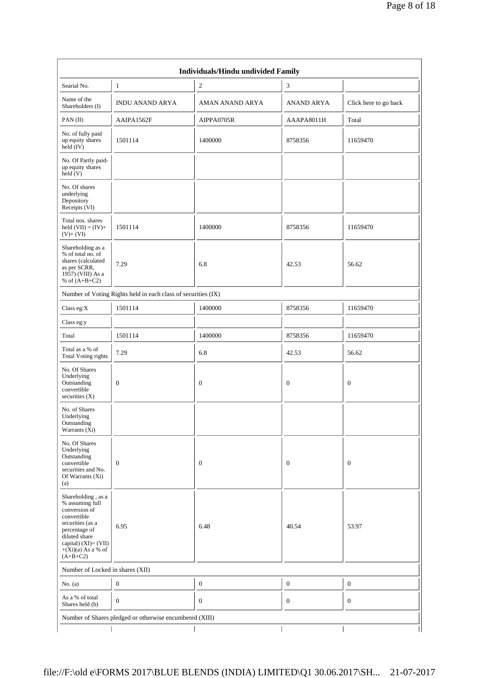| Individuals/Hindu undivided Family                                                                                                                                                           |                                                               |                  |                   |                       |  |  |  |
|----------------------------------------------------------------------------------------------------------------------------------------------------------------------------------------------|---------------------------------------------------------------|------------------|-------------------|-----------------------|--|--|--|
| Searial No.                                                                                                                                                                                  | $\mathbf{1}$                                                  | $\overline{c}$   | 3                 |                       |  |  |  |
| Name of the<br>Shareholders (I)                                                                                                                                                              | <b>INDU ANAND ARYA</b>                                        | AMAN ANAND ARYA  | <b>ANAND ARYA</b> | Click here to go back |  |  |  |
| PAN(II)                                                                                                                                                                                      | AAIPA1562F                                                    | AIPPA0705R       | AAAPA8011H        | Total                 |  |  |  |
| No. of fully paid<br>up equity shares<br>held $(IV)$                                                                                                                                         | 1501114                                                       | 1400000          | 8758356           | 11659470              |  |  |  |
| No. Of Partly paid-<br>up equity shares<br>held(V)                                                                                                                                           |                                                               |                  |                   |                       |  |  |  |
| No. Of shares<br>underlying<br>Depository<br>Receipts (VI)                                                                                                                                   |                                                               |                  |                   |                       |  |  |  |
| Total nos. shares<br>held $(VII) = (IV) +$<br>$(V)+(VI)$                                                                                                                                     | 1501114                                                       | 1400000          | 8758356           | 11659470              |  |  |  |
| Shareholding as a<br>% of total no. of<br>shares (calculated<br>as per SCRR,<br>1957) (VIII) As a<br>% of $(A+B+C2)$                                                                         | 7.29                                                          | 6.8              | 42.53             | 56.62                 |  |  |  |
|                                                                                                                                                                                              | Number of Voting Rights held in each class of securities (IX) |                  |                   |                       |  |  |  |
| Class eg:X                                                                                                                                                                                   | 1501114                                                       | 1400000          | 8758356           | 11659470              |  |  |  |
| Class eg:y                                                                                                                                                                                   |                                                               |                  |                   |                       |  |  |  |
| Total                                                                                                                                                                                        | 1501114                                                       | 1400000          | 8758356           | 11659470              |  |  |  |
| Total as a % of<br><b>Total Voting rights</b>                                                                                                                                                | 7.29                                                          | 6.8              | 42.53             | 56.62                 |  |  |  |
| No. Of Shares<br>Underlying<br>Outstanding<br>convertible<br>securities $(X)$                                                                                                                | $\mathbf{0}$                                                  | $\mathbf{0}$     | $\mathbf{0}$      | $\mathbf{0}$          |  |  |  |
| No. of Shares<br>Underlying<br>Outstanding<br>Warrants $(X_i)$                                                                                                                               |                                                               |                  |                   |                       |  |  |  |
| No. Of Shares<br>Underlying<br>Outstanding<br>convertible<br>securities and No.<br>Of Warrants (Xi)<br>(a)                                                                                   | $\boldsymbol{0}$                                              | $\mathbf{0}$     | $\boldsymbol{0}$  | $\boldsymbol{0}$      |  |  |  |
| Shareholding, as a<br>% assuming full<br>conversion of<br>convertible<br>securities (as a<br>percentage of<br>diluted share<br>capital) $(XI) = (VII)$<br>$+(Xi)(a)$ As a % of<br>$(A+B+C2)$ | 6.95                                                          | 6.48             | 40.54             | 53.97                 |  |  |  |
| Number of Locked in shares (XII)                                                                                                                                                             |                                                               |                  |                   |                       |  |  |  |
| No. (a)                                                                                                                                                                                      | $\boldsymbol{0}$                                              | $\boldsymbol{0}$ | $\boldsymbol{0}$  | $\boldsymbol{0}$      |  |  |  |
| As a % of total<br>Shares held (b)                                                                                                                                                           | $\boldsymbol{0}$                                              | $\mathbf{0}$     | $\boldsymbol{0}$  | $\boldsymbol{0}$      |  |  |  |
|                                                                                                                                                                                              | Number of Shares pledged or otherwise encumbered (XIII)       |                  |                   |                       |  |  |  |
|                                                                                                                                                                                              |                                                               |                  |                   |                       |  |  |  |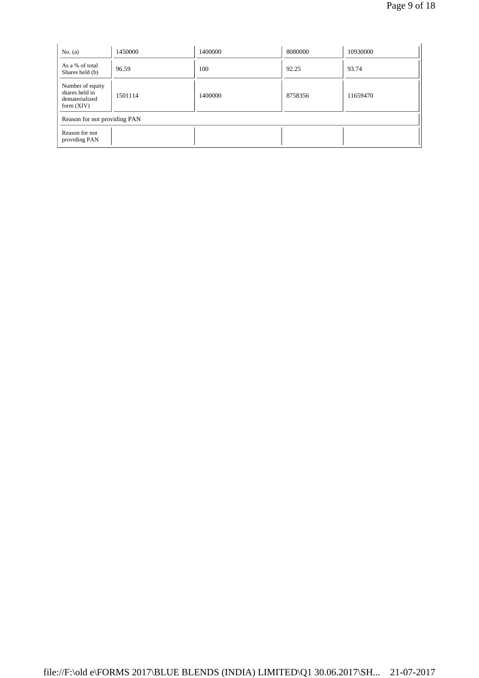| No. $(a)$                                                            | 1450000                      | 1400000 | 8080000 | 10930000 |  |  |  |
|----------------------------------------------------------------------|------------------------------|---------|---------|----------|--|--|--|
| As a % of total<br>Shares held (b)                                   | 96.59                        | 100     | 92.25   | 93.74    |  |  |  |
| Number of equity<br>shares held in<br>dematerialized<br>form $(XIV)$ | 1501114                      | 1400000 | 8758356 | 11659470 |  |  |  |
|                                                                      | Reason for not providing PAN |         |         |          |  |  |  |
| Reason for not<br>providing PAN                                      |                              |         |         |          |  |  |  |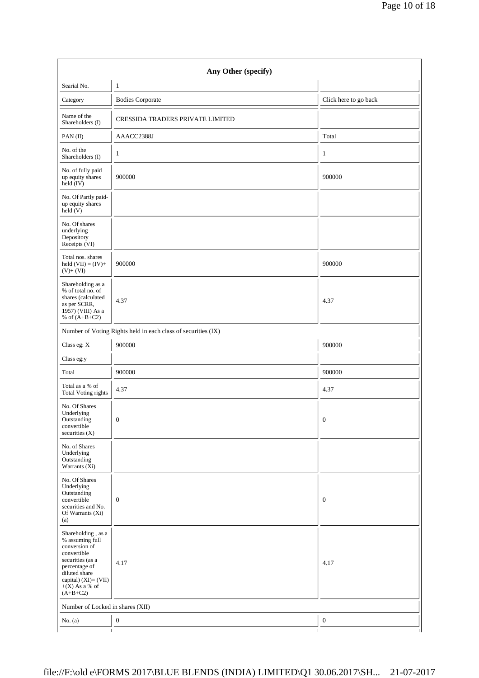| Any Other (specify)                                                                                                                                                                   |                                                               |                       |  |  |  |  |  |
|---------------------------------------------------------------------------------------------------------------------------------------------------------------------------------------|---------------------------------------------------------------|-----------------------|--|--|--|--|--|
| Searial No.                                                                                                                                                                           | $\mathbf{1}$                                                  |                       |  |  |  |  |  |
| Category                                                                                                                                                                              | <b>Bodies Corporate</b>                                       | Click here to go back |  |  |  |  |  |
| Name of the<br>Shareholders (I)                                                                                                                                                       | CRESSIDA TRADERS PRIVATE LIMITED                              |                       |  |  |  |  |  |
| PAN(II)                                                                                                                                                                               | AAACC2388J                                                    | Total                 |  |  |  |  |  |
| No. of the<br>Shareholders (I)                                                                                                                                                        | 1                                                             | 1                     |  |  |  |  |  |
| No. of fully paid<br>up equity shares<br>held (IV)                                                                                                                                    | 900000                                                        | 900000                |  |  |  |  |  |
| No. Of Partly paid-<br>up equity shares<br>held (V)                                                                                                                                   |                                                               |                       |  |  |  |  |  |
| No. Of shares<br>underlying<br>Depository<br>Receipts (VI)                                                                                                                            |                                                               |                       |  |  |  |  |  |
| Total nos. shares<br>held $(VII) = (IV) +$<br>$(V) + (VI)$                                                                                                                            | 900000                                                        | 900000                |  |  |  |  |  |
| Shareholding as a<br>% of total no. of<br>shares (calculated<br>as per SCRR,<br>1957) (VIII) As a<br>% of $(A+B+C2)$                                                                  | 4.37                                                          | 4.37                  |  |  |  |  |  |
|                                                                                                                                                                                       | Number of Voting Rights held in each class of securities (IX) |                       |  |  |  |  |  |
| Class eg: X                                                                                                                                                                           | 900000                                                        | 900000                |  |  |  |  |  |
| Class eg:y                                                                                                                                                                            |                                                               |                       |  |  |  |  |  |
| Total                                                                                                                                                                                 | 900000                                                        | 900000                |  |  |  |  |  |
| Total as a % of<br>Total Voting rights                                                                                                                                                | 4.37                                                          | 4.37                  |  |  |  |  |  |
| No. Of Shares<br>Underlying<br>Outstanding<br>convertible<br>securities (X)                                                                                                           | $\boldsymbol{0}$                                              | 0                     |  |  |  |  |  |
| No. of Shares<br>Underlying<br>Outstanding<br>Warrants (Xi)                                                                                                                           |                                                               |                       |  |  |  |  |  |
| No. Of Shares<br>Underlying<br>Outstanding<br>convertible<br>securities and No.<br>Of Warrants (Xi)<br>(a)                                                                            | $\boldsymbol{0}$                                              | $\mathbf{0}$          |  |  |  |  |  |
| Shareholding, as a<br>% assuming full<br>conversion of<br>convertible<br>securities (as a<br>percentage of<br>diluted share<br>capital) (XI)= (VII)<br>$+(X)$ As a % of<br>$(A+B+C2)$ | 4.17                                                          | 4.17                  |  |  |  |  |  |
| Number of Locked in shares (XII)                                                                                                                                                      |                                                               |                       |  |  |  |  |  |
| No. $(a)$                                                                                                                                                                             | $\boldsymbol{0}$                                              | $\boldsymbol{0}$      |  |  |  |  |  |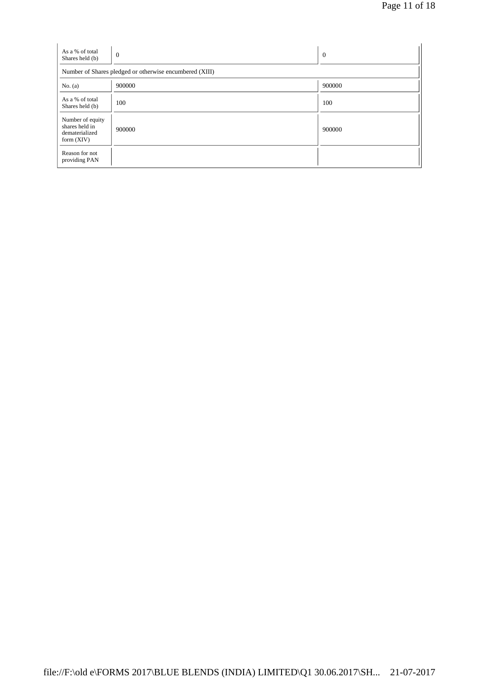| As a % of total<br>Shares held (b)                                   | $\overline{0}$ | $\overline{0}$ |  |  |  |  |  |
|----------------------------------------------------------------------|----------------|----------------|--|--|--|--|--|
| Number of Shares pledged or otherwise encumbered (XIII)              |                |                |  |  |  |  |  |
| No. $(a)$                                                            | 900000         | 900000         |  |  |  |  |  |
| As a % of total<br>Shares held (b)                                   | 100            | 100            |  |  |  |  |  |
| Number of equity<br>shares held in<br>dematerialized<br>form $(XIV)$ | 900000         | 900000         |  |  |  |  |  |
| Reason for not<br>providing PAN                                      |                |                |  |  |  |  |  |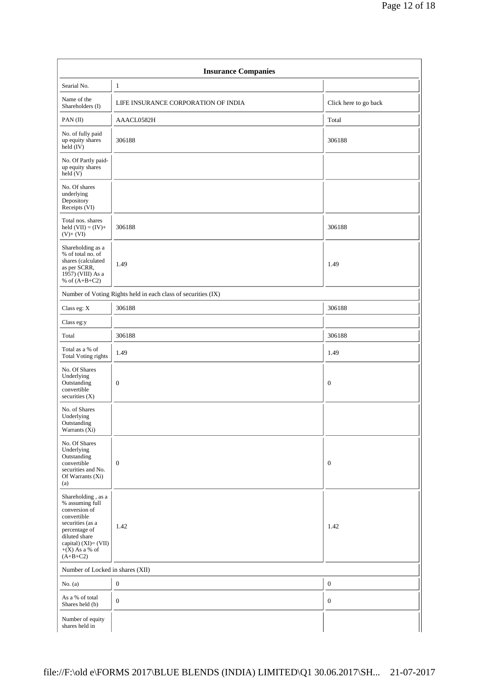| <b>Insurance Companies</b>                                                                                                                                                               |                                                               |                       |  |  |  |  |
|------------------------------------------------------------------------------------------------------------------------------------------------------------------------------------------|---------------------------------------------------------------|-----------------------|--|--|--|--|
| Searial No.                                                                                                                                                                              | $\mathbf{1}$                                                  |                       |  |  |  |  |
| Name of the<br>Shareholders (I)                                                                                                                                                          | LIFE INSURANCE CORPORATION OF INDIA                           | Click here to go back |  |  |  |  |
| PAN(II)                                                                                                                                                                                  | AAACL0582H                                                    | Total                 |  |  |  |  |
| No. of fully paid<br>up equity shares<br>$held$ (IV)                                                                                                                                     | 306188                                                        | 306188                |  |  |  |  |
| No. Of Partly paid-<br>up equity shares<br>held(V)                                                                                                                                       |                                                               |                       |  |  |  |  |
| No. Of shares<br>underlying<br>Depository<br>Receipts (VI)                                                                                                                               |                                                               |                       |  |  |  |  |
| Total nos. shares<br>held $(VII) = (IV) +$<br>$(V) + (VI)$                                                                                                                               | 306188                                                        | 306188                |  |  |  |  |
| Shareholding as a<br>% of total no. of<br>shares (calculated<br>as per SCRR,<br>1957) (VIII) As a<br>% of $(A+B+C2)$                                                                     | 1.49                                                          | 1.49                  |  |  |  |  |
|                                                                                                                                                                                          | Number of Voting Rights held in each class of securities (IX) |                       |  |  |  |  |
| Class eg: X                                                                                                                                                                              | 306188                                                        | 306188                |  |  |  |  |
| Class eg:y                                                                                                                                                                               |                                                               |                       |  |  |  |  |
| Total                                                                                                                                                                                    | 306188                                                        | 306188                |  |  |  |  |
| Total as a % of<br><b>Total Voting rights</b>                                                                                                                                            | 1.49                                                          | 1.49                  |  |  |  |  |
| No. Of Shares<br>Underlying<br>Outstanding<br>convertible<br>securities (X)                                                                                                              | $\boldsymbol{0}$                                              | $\mathbf{0}$          |  |  |  |  |
| No. of Shares<br>Underlying<br>Outstanding<br>Warrants (Xi)                                                                                                                              |                                                               |                       |  |  |  |  |
| No. Of Shares<br>Underlying<br>Outstanding<br>convertible<br>securities and No.<br>Of Warrants (Xi)<br>(a)                                                                               | $\boldsymbol{0}$                                              | $\mathbf{0}$          |  |  |  |  |
| Shareholding, as a<br>% assuming full<br>conversion of<br>convertible<br>securities (as a<br>percentage of<br>diluted share<br>capital) $(XI) = (VII)$<br>$+(X)$ As a % of<br>$(A+B+C2)$ | 1.42                                                          | 1.42                  |  |  |  |  |
| Number of Locked in shares (XII)                                                                                                                                                         |                                                               |                       |  |  |  |  |
| No. $(a)$                                                                                                                                                                                | $\boldsymbol{0}$                                              | $\boldsymbol{0}$      |  |  |  |  |
| As a % of total<br>Shares held (b)                                                                                                                                                       | $\mathbf{0}$                                                  | $\mathbf{0}$          |  |  |  |  |
| Number of equity<br>shares held in                                                                                                                                                       |                                                               |                       |  |  |  |  |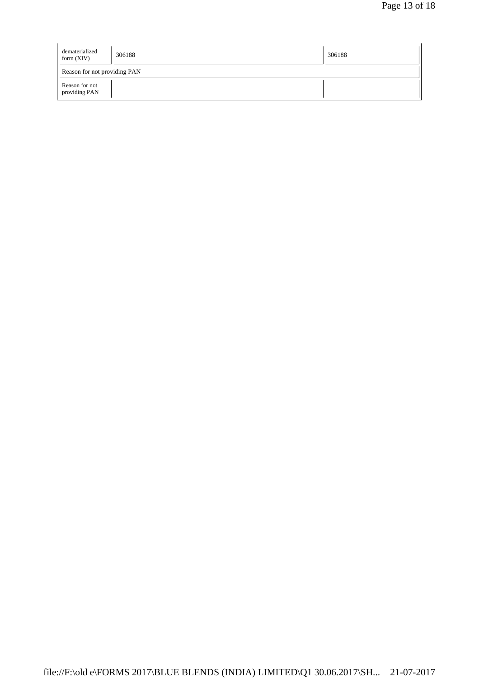| dematerialized<br>form $(XIV)$  | 306188 | 306188 |
|---------------------------------|--------|--------|
| Reason for not providing PAN    |        |        |
| Reason for not<br>providing PAN |        |        |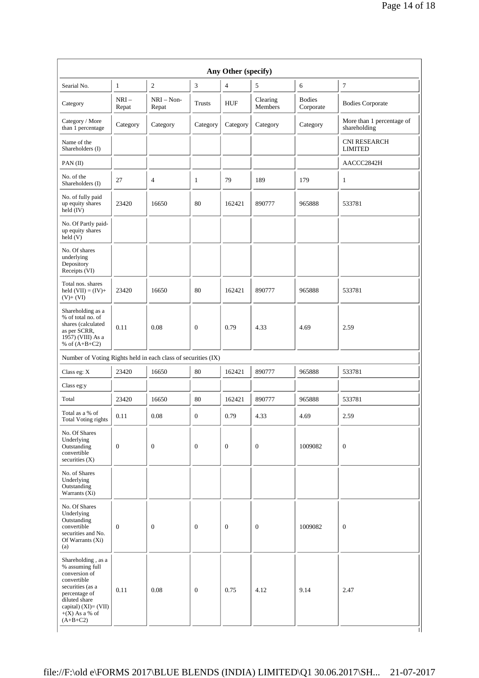|                                                                                                                                                                            |                 |                       |                  | Any Other (specify) |                     |                            |                                           |
|----------------------------------------------------------------------------------------------------------------------------------------------------------------------------|-----------------|-----------------------|------------------|---------------------|---------------------|----------------------------|-------------------------------------------|
| Searial No.                                                                                                                                                                | $\mathbf{1}$    | $\overline{c}$        | 3                | $\overline{4}$      | 5                   | 6                          | 7                                         |
| Category                                                                                                                                                                   | $NRI-$<br>Repat | $NRI - Non-$<br>Repat | <b>Trusts</b>    | <b>HUF</b>          | Clearing<br>Members | <b>Bodies</b><br>Corporate | <b>Bodies Corporate</b>                   |
| Category / More<br>than 1 percentage                                                                                                                                       | Category        | Category              | Category         | Category            | Category            | Category                   | More than 1 percentage of<br>shareholding |
| Name of the<br>Shareholders (I)                                                                                                                                            |                 |                       |                  |                     |                     |                            | <b>CNI RESEARCH</b><br><b>LIMITED</b>     |
| PAN(II)                                                                                                                                                                    |                 |                       |                  |                     |                     |                            | AACCC2842H                                |
| No. of the<br>Shareholders (I)                                                                                                                                             | 27              | 4                     | $\mathbf{1}$     | 79                  | 189                 | 179                        | $\mathbf{1}$                              |
| No. of fully paid<br>up equity shares<br>$held$ (IV)                                                                                                                       | 23420           | 16650                 | 80               | 162421              | 890777              | 965888                     | 533781                                    |
| No. Of Partly paid-<br>up equity shares<br>held(V)                                                                                                                         |                 |                       |                  |                     |                     |                            |                                           |
| No. Of shares<br>underlying<br>Depository<br>Receipts (VI)                                                                                                                 |                 |                       |                  |                     |                     |                            |                                           |
| Total nos. shares<br>held $(VII) = (IV) +$<br>$(V)+(VI)$                                                                                                                   | 23420           | 16650                 | 80               | 162421              | 890777              | 965888                     | 533781                                    |
| Shareholding as a<br>% of total no. of<br>shares (calculated<br>as per SCRR,<br>1957) (VIII) As a<br>% of $(A+B+C2)$                                                       | 0.11            | 0.08                  | $\overline{0}$   | 0.79                | 4.33                | 4.69                       | 2.59                                      |
| Number of Voting Rights held in each class of securities (IX)                                                                                                              |                 |                       |                  |                     |                     |                            |                                           |
| Class eg: X                                                                                                                                                                | 23420           | 16650                 | 80               | 162421              | 890777              | 965888                     | 533781                                    |
| Class eg:y                                                                                                                                                                 |                 |                       |                  |                     |                     |                            |                                           |
| Total                                                                                                                                                                      | 23420           | 16650                 | 80               | 162421              | 890777              | 965888                     | 533781                                    |
| Total as a % of<br><b>Total Voting rights</b>                                                                                                                              | 0.11            | 0.08                  | $\boldsymbol{0}$ | 0.79                | 4.33                | 4.69                       | 2.59                                      |
| No. Of Shares<br>Underlying<br>Outstanding<br>convertible<br>securities $(X)$                                                                                              | $\mathbf{0}$    | $\mathbf{0}$          | $\boldsymbol{0}$ | $\mathbf{0}$        | $\mathbf{0}$        | 1009082                    | $\boldsymbol{0}$                          |
| No. of Shares<br>Underlying<br>Outstanding<br>Warrants $(X_i)$                                                                                                             |                 |                       |                  |                     |                     |                            |                                           |
| No. Of Shares<br>Underlying<br>Outstanding<br>convertible<br>securities and No.<br>Of Warrants $(X_i)$<br>(a)                                                              | $\mathbf{0}$    | $\mathbf{0}$          | $\boldsymbol{0}$ | $\boldsymbol{0}$    | $\mathbf{0}$        | 1009082                    | $\mathbf{0}$                              |
| Shareholding, as a<br>% assuming full<br>conversion of<br>convertible<br>securities (as a<br>percentage of<br>diluted share<br>capital) $(XI) = (VII)$<br>$+(X)$ As a % of | 0.11            | 0.08                  | $\boldsymbol{0}$ | 0.75                | 4.12                | 9.14                       | 2.47                                      |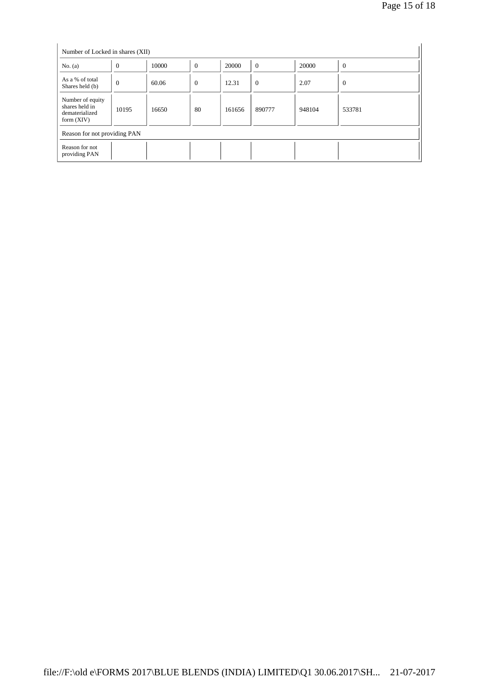| Number of Locked in shares (XII)                                     |                |       |                  |        |                |        |          |
|----------------------------------------------------------------------|----------------|-------|------------------|--------|----------------|--------|----------|
| No. $(a)$                                                            | $\overline{0}$ | 10000 | $\boldsymbol{0}$ | 20000  | $\overline{0}$ | 20000  | $\theta$ |
| As a % of total<br>Shares held (b)                                   | $\theta$       | 60.06 | $\theta$         | 12.31  | $\theta$       | 2.07   | $\theta$ |
| Number of equity<br>shares held in<br>dematerialized<br>form $(XIV)$ | 10195          | 16650 | 80               | 161656 | 890777         | 948104 | 533781   |
| Reason for not providing PAN                                         |                |       |                  |        |                |        |          |
| Reason for not<br>providing PAN                                      |                |       |                  |        |                |        |          |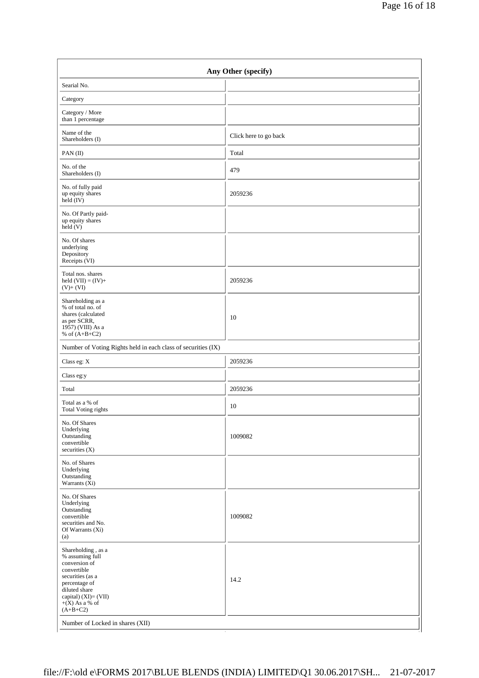| Any Other (specify)                                                                                                                                                                                                       |                       |  |  |  |
|---------------------------------------------------------------------------------------------------------------------------------------------------------------------------------------------------------------------------|-----------------------|--|--|--|
| Searial No.                                                                                                                                                                                                               |                       |  |  |  |
| Category                                                                                                                                                                                                                  |                       |  |  |  |
| Category / More<br>than 1 percentage                                                                                                                                                                                      |                       |  |  |  |
| Name of the<br>Shareholders (I)                                                                                                                                                                                           | Click here to go back |  |  |  |
| PAN(II)                                                                                                                                                                                                                   | Total                 |  |  |  |
| No. of the<br>Shareholders (I)                                                                                                                                                                                            | 479                   |  |  |  |
| No. of fully paid<br>up equity shares<br>held (IV)                                                                                                                                                                        | 2059236               |  |  |  |
| No. Of Partly paid-<br>up equity shares<br>held(V)                                                                                                                                                                        |                       |  |  |  |
| No. Of shares<br>underlying<br>Depository<br>Receipts (VI)                                                                                                                                                                |                       |  |  |  |
| Total nos. shares<br>held $(VII) = (IV) +$<br>$(V)+(VI)$                                                                                                                                                                  | 2059236               |  |  |  |
| Shareholding as a<br>% of total no. of<br>shares (calculated<br>as per SCRR,<br>1957) (VIII) As a<br>% of $(A+B+C2)$                                                                                                      | 10                    |  |  |  |
| Number of Voting Rights held in each class of securities (IX)                                                                                                                                                             |                       |  |  |  |
| Class eg: X                                                                                                                                                                                                               | 2059236               |  |  |  |
| Class eg:y                                                                                                                                                                                                                |                       |  |  |  |
| Total                                                                                                                                                                                                                     | 2059236               |  |  |  |
| Total as a % of<br><b>Total Voting rights</b>                                                                                                                                                                             | 10                    |  |  |  |
| No. Of Shares<br>Underlying<br>Outstanding<br>convertible<br>securities (X)                                                                                                                                               | 1009082               |  |  |  |
| No. of Shares<br>Underlying<br>Outstanding<br>Warrants (Xi)                                                                                                                                                               |                       |  |  |  |
| No. Of Shares<br>Underlying<br>Outstanding<br>convertible<br>securities and No.<br>Of Warrants (Xi)<br>(a)                                                                                                                | 1009082               |  |  |  |
| Shareholding, as a<br>% assuming full<br>conversion of<br>convertible<br>securities (as a<br>percentage of<br>diluted share<br>capital) (XI)= (VII)<br>$+(X)$ As a % of<br>$(A+B+C2)$<br>Number of Locked in shares (XII) | 14.2                  |  |  |  |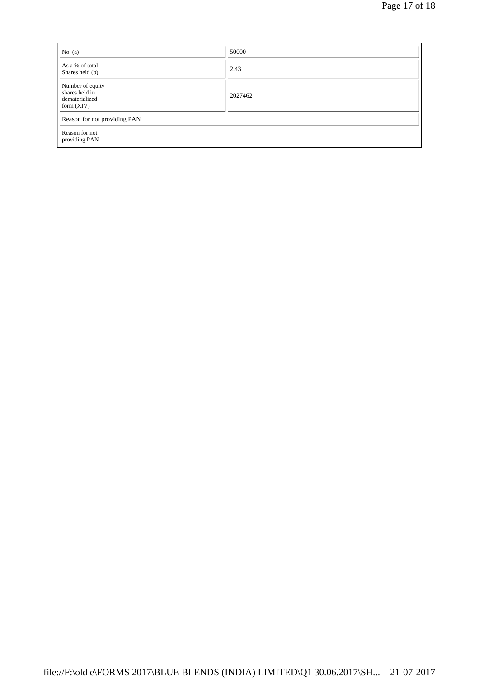| No. $(a)$                                                            | 50000   |
|----------------------------------------------------------------------|---------|
| As a % of total<br>Shares held (b)                                   | 2.43    |
| Number of equity<br>shares held in<br>dematerialized<br>form $(XIV)$ | 2027462 |
| Reason for not providing PAN                                         |         |
| Reason for not<br>providing PAN                                      |         |